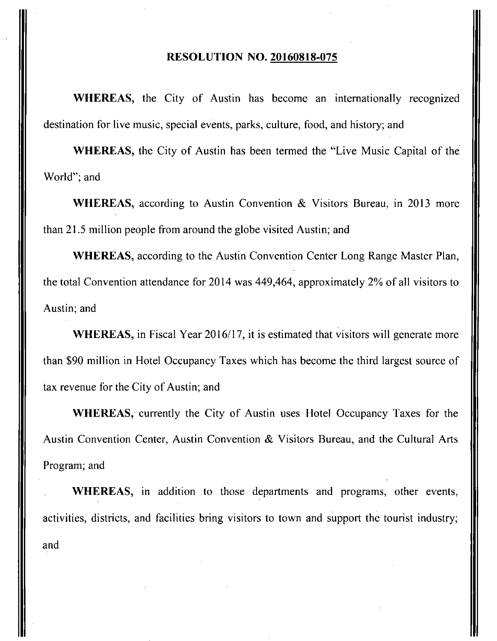#### **RESOLUTION NO. 20160818-075**

WHEREAS, the City of Austin has become an internationally recognized destination for live music, special events, parks, culture, food, and history; and

WHEREAS, the City of Austin has been termed the "Live Music Capital of the World"; and

WHEREAS, according to Austin Convention & Visitors Bureau, in 2013 more than 21.5 million people from around the globe visited Austin; and

WHEREAS, according to the Austin Convention Center Long Range Master Plan, the total Convention attendance for 2014 was 449,464, approximately 2% of all visitors to Austin; and

WHEREAS, in Fiscal Year 2016/17, it is estimated that visitors will generate more than \$90 million in Hotel Occupancy Taxes which has become the third largest source of tax revenue for the City of Austin; and

WHEREAS, currently the City of Austin uses Hotel Occupancy Taxes for the Austin Convention Center, Austin Convention & Visitors Bureau, and the Cultural Arts Program; and

WHEREAS, in addition to those departments and programs, other events, activities, districts, and facilities bring visitors to town and support the tourist industry; and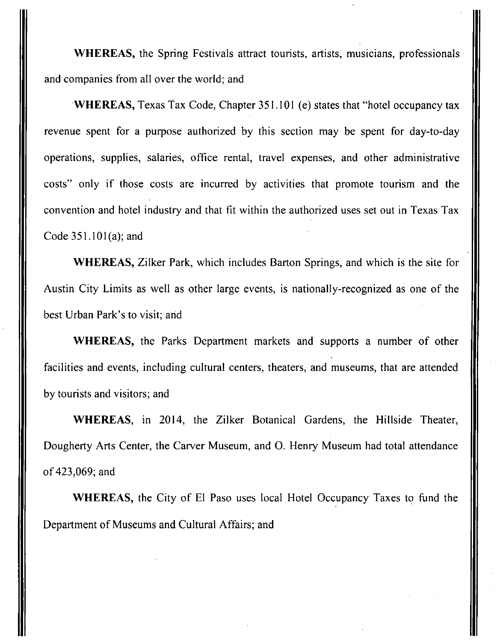WHEREAS, the Spring Festivals attract tourists, artists, musicians, professionals and companies from all over the world; and

WHEREAS, Texas Tax Code, Chapter 351.101 (e) states that "hotel occupancy tax revenue spent for a purpose authorized by this section may be spent for day-to-day operations, supplies, salaries, office rental, travel expenses, and other administrative costs" only if those costs are incurred by activities that promote tourism and the convention and hotel industry and that fit within the authorized uses set out in Texas Tax Code 351.101(a); and

WHEREAS, Zilker Park, which includes Barton Springs, and which is the site for Austin City Limits as well as other large events, is nationally-recognized as one of the best Urban Park's to visit; and

WHEREAS, the Parks Department markets and supports a number of other facilities and events, including cultural centers, theaters, and museums, that are attended by tourists and visitors; and

WHEREAS, in 2014, the Zilker Botanical Gardens, the Hillside Theater, Dougherty Arts Center, the Carver Museum, and O. Henry Museum had total attendance of 423,069; and

WHEREAS, the City of El Paso uses local Hotel Occupancy Taxes to fund the Department of Museums and Cultural Affairs; and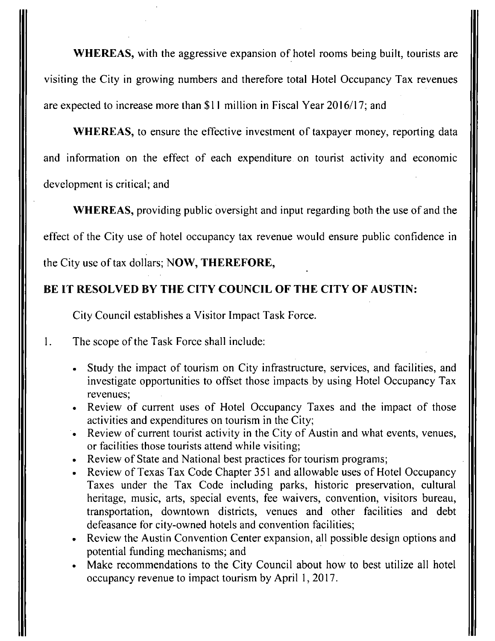WHEREAS, with the aggressive expansion of hotel rooms being built, tourists are visiting the City in growing numbers and therefore total Hotel Occupancy Tax revenues are expected to increase more than \$11 million in Fiscal Year 2016/17; and

WHEREAS, to ensure the effective investment of taxpayer money, reporting data and information on the effect of each expenditure on tourist activity and economic development is critical; and

**WHEREAS, providing public oversight and input regarding both the use of and the** 

**effect of the City use of hotel occupancy tax revenue would ensure public confidence in** 

**the City use of tax dollars; NOW, THEREFORE,** 

## **BE IT RESOLVED BY THE CITY COUNCIL OF THE CITY OF AUSTIN:**

City Council establishes a Visitor Impact Task Force.

1. The scope of the Task Force shall include:

- Study the impact of tourism on City infrastructure, services, and facilities, and investigate opportunities to offset those impacts.by using Hotel Occupancy Tax revenues;
- Review of current uses of Hotel Occupancy Taxes and the impact of those activities and expenditures on tourism in the City;
- Review of current tourist activity in the City of Austin and what events, venues, or facilities those tourists attend while visiting;
- Review of State and National best practices for tourism programs;
- Review of Texas Tax Code Chapter 351 and allowable uses of Hotel Occupancy Taxes under the Tax Code including parks, historic preservation, cultural heritage, music, arts, special events, fee waivers, convention, visitors bureau, transportation, downtown districts, venues and other facilities and debt defeasance for city-owned hotels and convention facilities;
- Review the Austin Convention Center expansion, all possible design options and potential funding mechanisms; and
- Make recommendations to the City Council about how to best utilize all hotel occupancy revenue to impact tourism by April 1, 2017.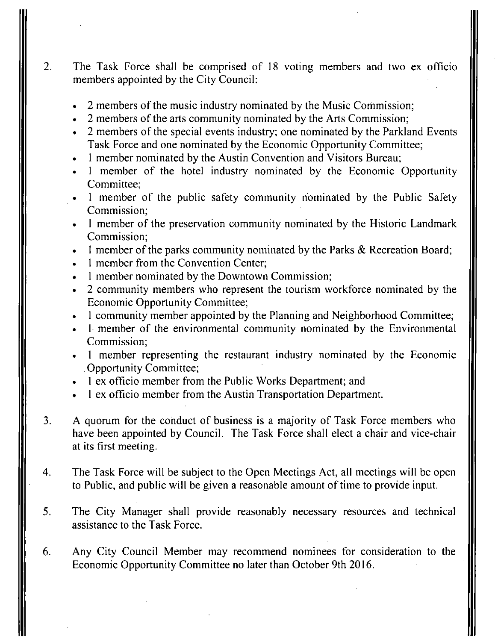- 2. The Task Force shall be comprised of 18 voting members and two ex officio members appointed by the City Council:
	- 2 members of the music industry nominated by the Music Commission;
	- 2 members of the arts community nominated by the Arts Commission;
	- 2 members of the special events industry; one nominated by the Parkland Events Task Force and one nominated by the Economic Opportunity Committee;
	- 1 member nominated by the Austin Convention and Visitors Bureau;
	- 1 member of the hotel industry nominated by the Economic Opportunity Committee;
	- 1 member of the public safety community nominated by the Public Safety Commission;
	- 1 member of the preservation community nominated by the Historic Landmark Commission;
	- 1 member of the parks community nominated by the Parks & Recreation Board;
	- 1 member from the Convention Center;
	- 1 member nominated by the Downtown Commission;
	- 2 community members who represent the tourism workforce nominated by the Economic Opportunity Committee;
	- 1 community member appointed by the Planning and Neighborhood Committee;
	- 1 member of the environmental community nominated by the Environmental Commission;
	- 1 member representing the restaurant industry nominated by the Economic Opportunity Committee;
	- 1 ex officio member from the Public Works Department; and
	- 1 ex officio member from the Austin Transportation Department.
- 3. A quorum for the conduct of business is a majority of Task Force members who have been appointed by Council. The Task Force shall elect a chair and vice-chair at its first meeting.
- 4. The Task Force will be subject to the Open Meetings Act, all meetings will be open to Public, and public will be given a reasonable amount of time to provide input.
- 5. The City Manager shall provide reasonably necessary resources and technical assistance to the Task Force.
- 6. Any City Council Member may recommend nominees for consideration to the Economic Opportunity Committee no later than October 9th 2016.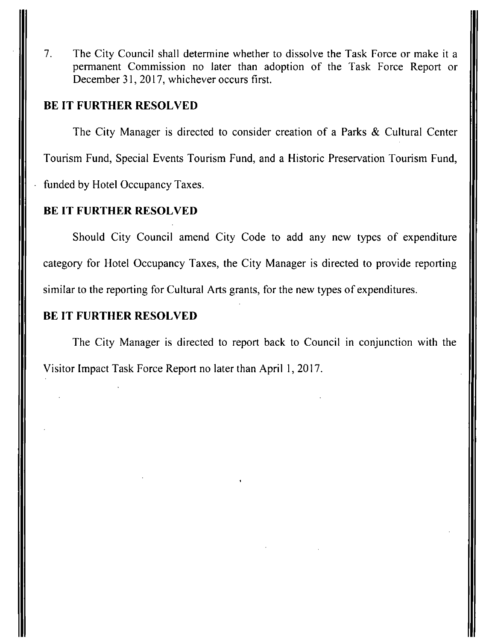7. The City Council shall determine whether to dissolve the Task Force or make it a permanent Commission no later than adoption of the Task Force Report or December 31, 2017, whichever occurs first.

### **BE IT FURTHER RESOLVED**

**The City Manager is directed to consider creation of a Parks & Cultural Center Tourism Fund, Special Events Tourism Fund, and a Historic Preservation Tourism Fund, funded by Hotel Occupancy Taxes.** 

## **BE IT FURTHER RESOLVED**

**Should City Council amend City Code to add any new types of expenditure category for Hotel Occupancy Taxes, the City Manager is directed to provide reporting similar to the reporting for Cultural Arts grants, for the new types of expenditures.** 

#### **BE IT FURTHER RESOLVED**

The City Manager is directed to report back to Council in conjunction with the Visitor Impact Task Force Report no later than April 1, 2017.